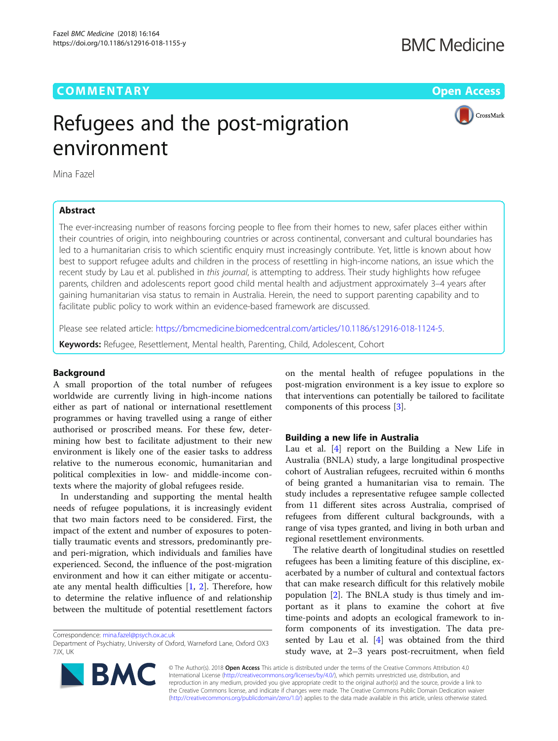### **COMMENTARY COMMENTARY COMMENTARY**

## **BMC Medicine**

# Refugees and the post-migration environment



Mina Fazel

#### Abstract

The ever-increasing number of reasons forcing people to flee from their homes to new, safer places either within their countries of origin, into neighbouring countries or across continental, conversant and cultural boundaries has led to a humanitarian crisis to which scientific enquiry must increasingly contribute. Yet, little is known about how best to support refugee adults and children in the process of resettling in high-income nations, an issue which the recent study by Lau et al. published in this journal, is attempting to address. Their study highlights how refugee parents, children and adolescents report good child mental health and adjustment approximately 3–4 years after gaining humanitarian visa status to remain in Australia. Herein, the need to support parenting capability and to facilitate public policy to work within an evidence-based framework are discussed.

Please see related article: <https://bmcmedicine.biomedcentral.com/articles/10.1186/s12916-018-1124-5>.

Keywords: Refugee, Resettlement, Mental health, Parenting, Child, Adolescent, Cohort

#### Background

A small proportion of the total number of refugees worldwide are currently living in high-income nations either as part of national or international resettlement programmes or having travelled using a range of either authorised or proscribed means. For these few, determining how best to facilitate adjustment to their new environment is likely one of the easier tasks to address relative to the numerous economic, humanitarian and political complexities in low- and middle-income contexts where the majority of global refugees reside.

In understanding and supporting the mental health needs of refugee populations, it is increasingly evident that two main factors need to be considered. First, the impact of the extent and number of exposures to potentially traumatic events and stressors, predominantly preand peri-migration, which individuals and families have experienced. Second, the influence of the post-migration environment and how it can either mitigate or accentuate any mental health difficulties  $[1, 2]$  $[1, 2]$  $[1, 2]$  $[1, 2]$ . Therefore, how to determine the relative influence of and relationship between the multitude of potential resettlement factors

Correspondence: [mina.fazel@psych.ox.ac.uk](mailto:mina.fazel@psych.ox.ac.uk)

on the mental health of refugee populations in the post-migration environment is a key issue to explore so that interventions can potentially be tailored to facilitate components of this process [\[3](#page-1-0)].

#### Building a new life in Australia

Lau et al. [[4\]](#page-1-0) report on the Building a New Life in Australia (BNLA) study, a large longitudinal prospective cohort of Australian refugees, recruited within 6 months of being granted a humanitarian visa to remain. The study includes a representative refugee sample collected from 11 different sites across Australia, comprised of refugees from different cultural backgrounds, with a range of visa types granted, and living in both urban and regional resettlement environments.

The relative dearth of longitudinal studies on resettled refugees has been a limiting feature of this discipline, exacerbated by a number of cultural and contextual factors that can make research difficult for this relatively mobile population [[2\]](#page-1-0). The BNLA study is thus timely and important as it plans to examine the cohort at five time-points and adopts an ecological framework to inform components of its investigation. The data presented by Lau et al. [[4](#page-1-0)] was obtained from the third study wave, at 2–3 years post-recruitment, when field

© The Author(s). 2018 Open Access This article is distributed under the terms of the Creative Commons Attribution 4.0 International License [\(http://creativecommons.org/licenses/by/4.0/](http://creativecommons.org/licenses/by/4.0/)), which permits unrestricted use, distribution, and reproduction in any medium, provided you give appropriate credit to the original author(s) and the source, provide a link to the Creative Commons license, and indicate if changes were made. The Creative Commons Public Domain Dedication waiver [\(http://creativecommons.org/publicdomain/zero/1.0/](http://creativecommons.org/publicdomain/zero/1.0/)) applies to the data made available in this article, unless otherwise stated.



Department of Psychiatry, University of Oxford, Warneford Lane, Oxford OX3 7JX, UK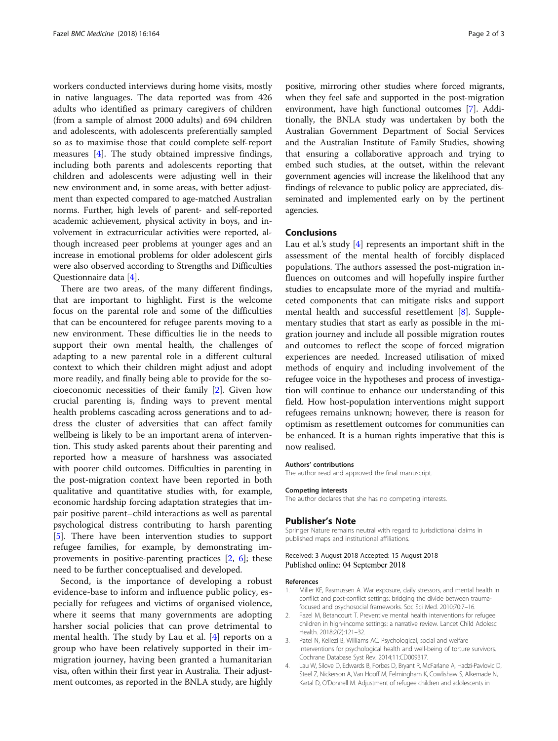<span id="page-1-0"></span>workers conducted interviews during home visits, mostly in native languages. The data reported was from 426 adults who identified as primary caregivers of children (from a sample of almost 2000 adults) and 694 children and adolescents, with adolescents preferentially sampled so as to maximise those that could complete self-report measures [4]. The study obtained impressive findings, including both parents and adolescents reporting that children and adolescents were adjusting well in their new environment and, in some areas, with better adjustment than expected compared to age-matched Australian norms. Further, high levels of parent- and self-reported academic achievement, physical activity in boys, and involvement in extracurricular activities were reported, although increased peer problems at younger ages and an increase in emotional problems for older adolescent girls were also observed according to Strengths and Difficulties Questionnaire data [4].

There are two areas, of the many different findings, that are important to highlight. First is the welcome focus on the parental role and some of the difficulties that can be encountered for refugee parents moving to a new environment. These difficulties lie in the needs to support their own mental health, the challenges of adapting to a new parental role in a different cultural context to which their children might adjust and adopt more readily, and finally being able to provide for the socioeconomic necessities of their family [2]. Given how crucial parenting is, finding ways to prevent mental health problems cascading across generations and to address the cluster of adversities that can affect family wellbeing is likely to be an important arena of intervention. This study asked parents about their parenting and reported how a measure of harshness was associated with poorer child outcomes. Difficulties in parenting in the post-migration context have been reported in both qualitative and quantitative studies with, for example, economic hardship forcing adaptation strategies that impair positive parent–child interactions as well as parental psychological distress contributing to harsh parenting [[5\]](#page-2-0). There have been intervention studies to support refugee families, for example, by demonstrating improvements in positive-parenting practices [2, [6\]](#page-2-0); these need to be further conceptualised and developed.

Second, is the importance of developing a robust evidence-base to inform and influence public policy, especially for refugees and victims of organised violence, where it seems that many governments are adopting harsher social policies that can prove detrimental to mental health. The study by Lau et al. [4] reports on a group who have been relatively supported in their immigration journey, having been granted a humanitarian visa, often within their first year in Australia. Their adjustment outcomes, as reported in the BNLA study, are highly positive, mirroring other studies where forced migrants, when they feel safe and supported in the post-migration environment, have high functional outcomes [[7](#page-2-0)]. Additionally, the BNLA study was undertaken by both the Australian Government Department of Social Services and the Australian Institute of Family Studies, showing that ensuring a collaborative approach and trying to embed such studies, at the outset, within the relevant government agencies will increase the likelihood that any findings of relevance to public policy are appreciated, disseminated and implemented early on by the pertinent agencies.

#### Conclusions

Lau et al.'s study  $[4]$  represents an important shift in the assessment of the mental health of forcibly displaced populations. The authors assessed the post-migration influences on outcomes and will hopefully inspire further studies to encapsulate more of the myriad and multifaceted components that can mitigate risks and support mental health and successful resettlement [\[8](#page-2-0)]. Supplementary studies that start as early as possible in the migration journey and include all possible migration routes and outcomes to reflect the scope of forced migration experiences are needed. Increased utilisation of mixed methods of enquiry and including involvement of the refugee voice in the hypotheses and process of investigation will continue to enhance our understanding of this field. How host-population interventions might support refugees remains unknown; however, there is reason for optimism as resettlement outcomes for communities can be enhanced. It is a human rights imperative that this is now realised.

#### Authors' contributions

The author read and approved the final manuscript.

#### Competing interests

The author declares that she has no competing interests.

#### Publisher's Note

Springer Nature remains neutral with regard to jurisdictional claims in published maps and institutional affiliations.

#### Received: 3 August 2018 Accepted: 15 August 2018 Published online: 04 September 2018

#### References

- 1. Miller KE, Rasmussen A. War exposure, daily stressors, and mental health in conflict and post-conflict settings: bridging the divide between traumafocused and psychosocial frameworks. Soc Sci Med. 2010;70:7–16.
- 2. Fazel M, Betancourt T. Preventive mental health interventions for refugee children in high-income settings: a narrative review. Lancet Child Adolesc Health. 2018;2(2):121–32.
- 3. Patel N, Kellezi B, Williams AC. Psychological, social and welfare interventions for psychological health and well-being of torture survivors. Cochrane Database Syst Rev. 2014;11:CD009317.
- 4. Lau W, Silove D, Edwards B, Forbes D, Bryant R, McFarlane A, Hadzi-Pavlovic D, Steel Z, Nickerson A, Van Hooff M, Felmingham K, Cowlishaw S, Alkemade N, Kartal D, O'Donnell M. Adjustment of refugee children and adolescents in